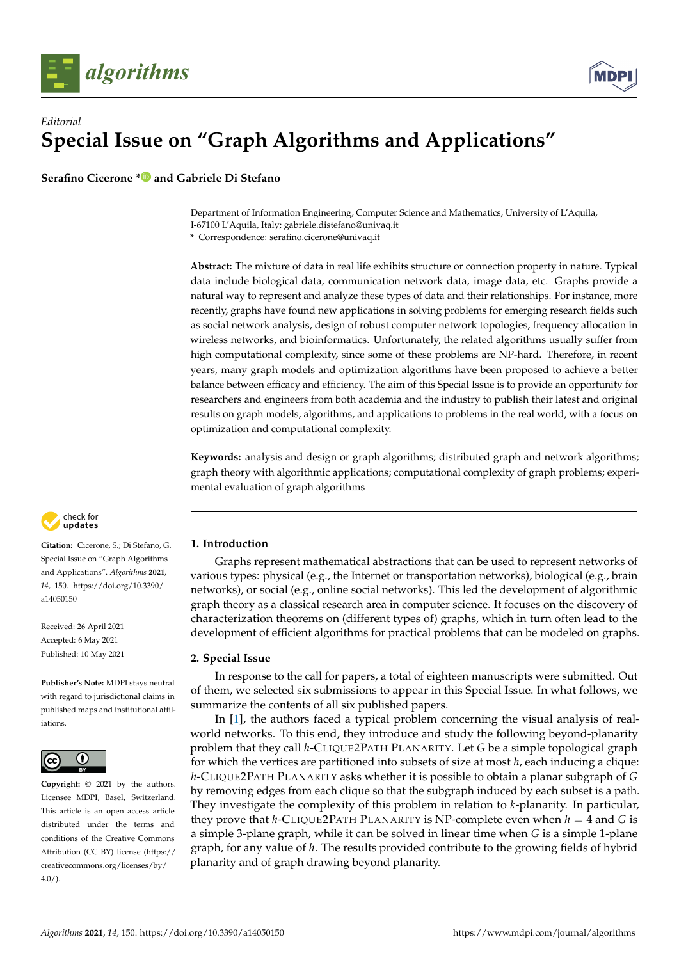

## *Editorial* **Special Issue on "Graph Algorithms and Applications"**

**Serafino Cicerone [\\*](https://orcid.org/0000-0001-8893-9335) and Gabriele Di Stefano**

Department of Information Engineering, Computer Science and Mathematics, University of L'Aquila, I-67100 L'Aquila, Italy; gabriele.distefano@univaq.it

**\*** Correspondence: serafino.cicerone@univaq.it

**Abstract:** The mixture of data in real life exhibits structure or connection property in nature. Typical data include biological data, communication network data, image data, etc. Graphs provide a natural way to represent and analyze these types of data and their relationships. For instance, more recently, graphs have found new applications in solving problems for emerging research fields such as social network analysis, design of robust computer network topologies, frequency allocation in wireless networks, and bioinformatics. Unfortunately, the related algorithms usually suffer from high computational complexity, since some of these problems are NP-hard. Therefore, in recent years, many graph models and optimization algorithms have been proposed to achieve a better balance between efficacy and efficiency. The aim of this Special Issue is to provide an opportunity for researchers and engineers from both academia and the industry to publish their latest and original results on graph models, algorithms, and applications to problems in the real world, with a focus on optimization and computational complexity.

**Keywords:** analysis and design or graph algorithms; distributed graph and network algorithms; graph theory with algorithmic applications; computational complexity of graph problems; experimental evaluation of graph algorithms



**Citation:** Cicerone, S.; Di Stefano, G. Special Issue on "Graph Algorithms and Applications". *Algorithms* **2021**, *14*, 150. [https://doi.org/10.3390/](https://doi.org/10.3390/a14050150) [a14050150](https://doi.org/10.3390/a14050150)

Received: 26 April 2021 Accepted: 6 May 2021 Published: 10 May 2021

**Publisher's Note:** MDPI stays neutral with regard to jurisdictional claims in published maps and institutional affiliations.



**Copyright:** © 2021 by the authors. Licensee MDPI, Basel, Switzerland. This article is an open access article distributed under the terms and conditions of the Creative Commons Attribution (CC BY) license (https:/[/](https://creativecommons.org/licenses/by/4.0/) [creativecommons.org/licenses/by/](https://creativecommons.org/licenses/by/4.0/)  $4.0/$ ).

## **1. Introduction**

Graphs represent mathematical abstractions that can be used to represent networks of various types: physical (e.g., the Internet or transportation networks), biological (e.g., brain networks), or social (e.g., online social networks). This led the development of algorithmic graph theory as a classical research area in computer science. It focuses on the discovery of characterization theorems on (different types of) graphs, which in turn often lead to the development of efficient algorithms for practical problems that can be modeled on graphs.

## **2. Special Issue**

In response to the call for papers, a total of eighteen manuscripts were submitted. Out of them, we selected six submissions to appear in this Special Issue. In what follows, we summarize the contents of all six published papers.

In [\[1\]](#page-2-0), the authors faced a typical problem concerning the visual analysis of realworld networks. To this end, they introduce and study the following beyond-planarity problem that they call *h*-CLIQUE2PATH PLANARITY. Let *G* be a simple topological graph for which the vertices are partitioned into subsets of size at most *h*, each inducing a clique: *h*-CLIQUE2PATH PLANARITY asks whether it is possible to obtain a planar subgraph of *G* by removing edges from each clique so that the subgraph induced by each subset is a path. They investigate the complexity of this problem in relation to *k*-planarity. In particular, they prove that *h*-CLIQUE2PATH PLANARITY is NP-complete even when  $h = 4$  and *G* is a simple 3-plane graph, while it can be solved in linear time when *G* is a simple 1-plane graph, for any value of *h*. The results provided contribute to the growing fields of hybrid planarity and of graph drawing beyond planarity.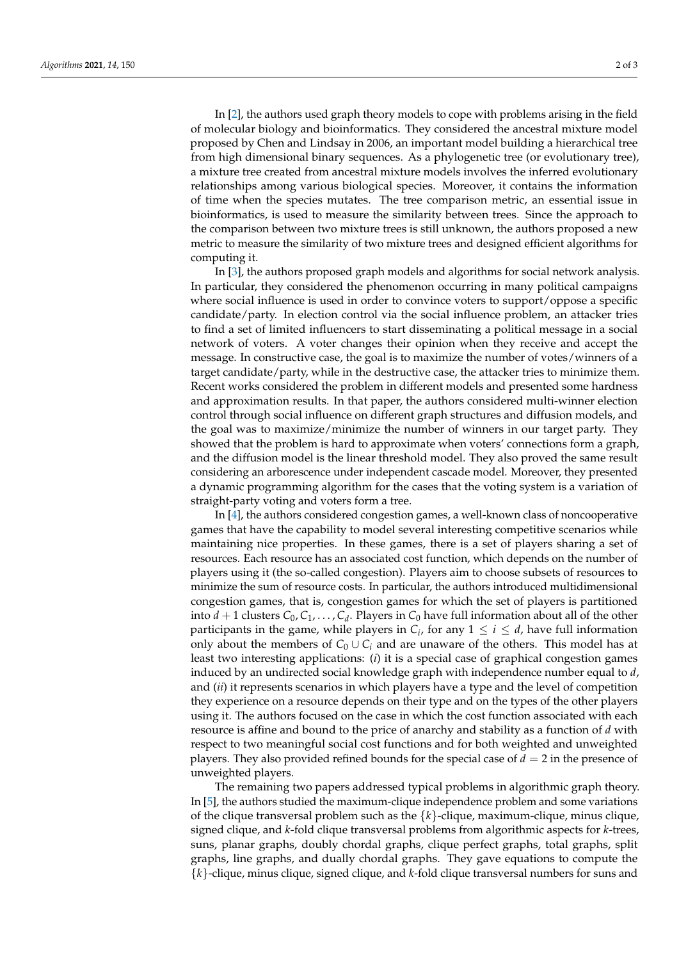In [\[2\]](#page-2-1), the authors used graph theory models to cope with problems arising in the field of molecular biology and bioinformatics. They considered the ancestral mixture model proposed by Chen and Lindsay in 2006, an important model building a hierarchical tree from high dimensional binary sequences. As a phylogenetic tree (or evolutionary tree), a mixture tree created from ancestral mixture models involves the inferred evolutionary relationships among various biological species. Moreover, it contains the information of time when the species mutates. The tree comparison metric, an essential issue in bioinformatics, is used to measure the similarity between trees. Since the approach to the comparison between two mixture trees is still unknown, the authors proposed a new metric to measure the similarity of two mixture trees and designed efficient algorithms for computing it.

In [\[3\]](#page-2-2), the authors proposed graph models and algorithms for social network analysis. In particular, they considered the phenomenon occurring in many political campaigns where social influence is used in order to convince voters to support/oppose a specific candidate/party. In election control via the social influence problem, an attacker tries to find a set of limited influencers to start disseminating a political message in a social network of voters. A voter changes their opinion when they receive and accept the message. In constructive case, the goal is to maximize the number of votes/winners of a target candidate/party, while in the destructive case, the attacker tries to minimize them. Recent works considered the problem in different models and presented some hardness and approximation results. In that paper, the authors considered multi-winner election control through social influence on different graph structures and diffusion models, and the goal was to maximize/minimize the number of winners in our target party. They showed that the problem is hard to approximate when voters' connections form a graph, and the diffusion model is the linear threshold model. They also proved the same result considering an arborescence under independent cascade model. Moreover, they presented a dynamic programming algorithm for the cases that the voting system is a variation of straight-party voting and voters form a tree.

In [\[4\]](#page-2-3), the authors considered congestion games, a well-known class of noncooperative games that have the capability to model several interesting competitive scenarios while maintaining nice properties. In these games, there is a set of players sharing a set of resources. Each resource has an associated cost function, which depends on the number of players using it (the so-called congestion). Players aim to choose subsets of resources to minimize the sum of resource costs. In particular, the authors introduced multidimensional congestion games, that is, congestion games for which the set of players is partitioned into  $d + 1$  clusters  $C_0, C_1, \ldots, C_d$ . Players in  $C_0$  have full information about all of the other participants in the game, while players in  $C_i$ , for any  $1 \leq i \leq d$ , have full information only about the members of  $C_0 \cup C_i$  and are unaware of the others. This model has at least two interesting applications: (*i*) it is a special case of graphical congestion games induced by an undirected social knowledge graph with independence number equal to *d*, and (*ii*) it represents scenarios in which players have a type and the level of competition they experience on a resource depends on their type and on the types of the other players using it. The authors focused on the case in which the cost function associated with each resource is affine and bound to the price of anarchy and stability as a function of *d* with respect to two meaningful social cost functions and for both weighted and unweighted players. They also provided refined bounds for the special case of  $d = 2$  in the presence of unweighted players.

The remaining two papers addressed typical problems in algorithmic graph theory. In [\[5\]](#page-2-4), the authors studied the maximum-clique independence problem and some variations of the clique transversal problem such as the {*k*}-clique, maximum-clique, minus clique, signed clique, and *k*-fold clique transversal problems from algorithmic aspects for *k*-trees, suns, planar graphs, doubly chordal graphs, clique perfect graphs, total graphs, split graphs, line graphs, and dually chordal graphs. They gave equations to compute the {*k*}-clique, minus clique, signed clique, and *k*-fold clique transversal numbers for suns and